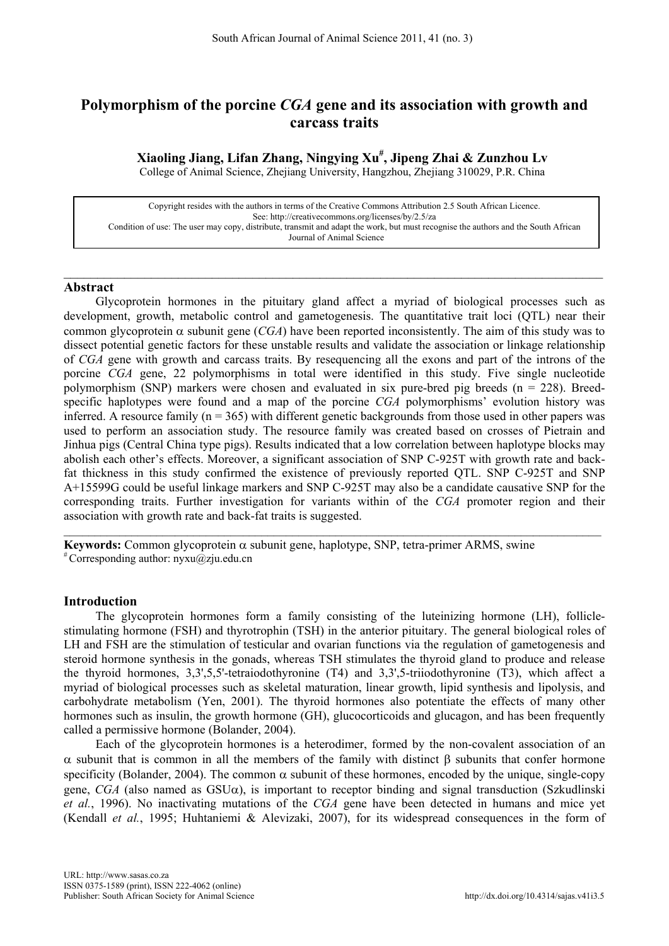# **Polymorphism of the porcine** *CGA* **gene and its association with growth and carcass traits**

**Xiaoling Jiang, Lifan Zhang, Ningying Xu# , Jipeng Zhai & Zunzhou Lv** College of Animal Science, Zhejiang University, Hangzhou, Zhejiang 310029, P.R. China

Copyright resides with the authors in terms of the Creative Commons Attribution 2.5 South African Licence. See[: http://creativecommons.org/licenses/by/2.5/za](http://creativecommons.org/licenses/by/2.5/za) Condition of use: The user may copy, distribute, transmit and adapt the work, but must recognise the authors and the South African Journal of Animal Science

\_\_\_\_\_\_\_\_\_\_\_\_\_\_\_\_\_\_\_\_\_\_\_\_\_\_\_\_\_\_\_\_\_\_\_\_\_\_\_\_\_\_\_\_\_\_\_\_\_\_\_\_\_\_\_\_\_\_\_\_\_\_\_\_\_\_\_\_\_\_\_\_\_\_\_\_\_\_\_\_

## **Abstract**

Glycoprotein hormones in the pituitary gland affect a myriad of biological processes such as development, growth, metabolic control and gametogenesis. The quantitative trait loci (QTL) near their common glycoprotein  $\alpha$  subunit gene (*CGA*) have been reported inconsistently. The aim of this study was to dissect potential genetic factors for these unstable results and validate the association or linkage relationship of *CGA* gene with growth and carcass traits. By resequencing all the exons and part of the introns of the porcine *CGA* gene, 22 polymorphisms in total were identified in this study. Five single nucleotide polymorphism (SNP) markers were chosen and evaluated in six pure-bred pig breeds ( $n = 228$ ). Breedspecific haplotypes were found and a map of the porcine *CGA* polymorphisms' evolution history was inferred. A resource family ( $n = 365$ ) with different genetic backgrounds from those used in other papers was used to perform an association study. The resource family was created based on crosses of Pietrain and Jinhua pigs (Central China type pigs). Results indicated that a low correlation between haplotype blocks may abolish each other's effects. Moreover, a significant association of SNP C-925T with growth rate and backfat thickness in this study confirmed the existence of previously reported QTL. SNP C-925T and SNP A+15599G could be useful linkage markers and SNP C-925T may also be a candidate causative SNP for the corresponding traits. Further investigation for variants within of the *CGA* promoter region and their association with growth rate and back-fat traits is suggested.

 $\_$ 

**Keywords:** Common glycoprotein  $\alpha$  subunit gene, haplotype, SNP, tetra-primer ARMS, swine  $*$  Corresponding author: nyxu@zju.edu.cn

## **Introduction**

The glycoprotein hormones form a family consisting of the luteinizing hormone (LH), folliclestimulating hormone (FSH) and thyrotrophin (TSH) in the anterior pituitary. The general biological roles of LH and FSH are the stimulation of testicular and ovarian functions via the regulation of gametogenesis and steroid hormone synthesis in the gonads, whereas TSH stimulates the thyroid gland to produce and release the thyroid hormones, 3,3',5,5'-tetraiodothyronine (T4) and 3,3',5-triiodothyronine (T3), which affect a myriad of biological processes such as skeletal maturation, linear growth, lipid synthesis and lipolysis, and carbohydrate metabolism (Yen, 2001). The thyroid hormones also potentiate the effects of many other hormones such as insulin, the growth hormone (GH), glucocorticoids and glucagon, and has been frequently called a permissive hormone (Bolander, 2004).

Each of the glycoprotein hormones is a heterodimer, formed by the non-covalent association of an α subunit that is common in all the members of the family with distinct β subunits that confer hormone specificity (Bolander, 2004). The common  $\alpha$  subunit of these hormones, encoded by the unique, single-copy gene, *CGA* (also named as GSU $\alpha$ ), is important to receptor binding and signal transduction (Szkudlinski *et al.*, 1996). No inactivating mutations of the *CGA* gene have been detected in humans and mice yet (Kendall *et al.*, 1995; Huhtaniemi & Alevizaki, 2007), for its widespread consequences in the form of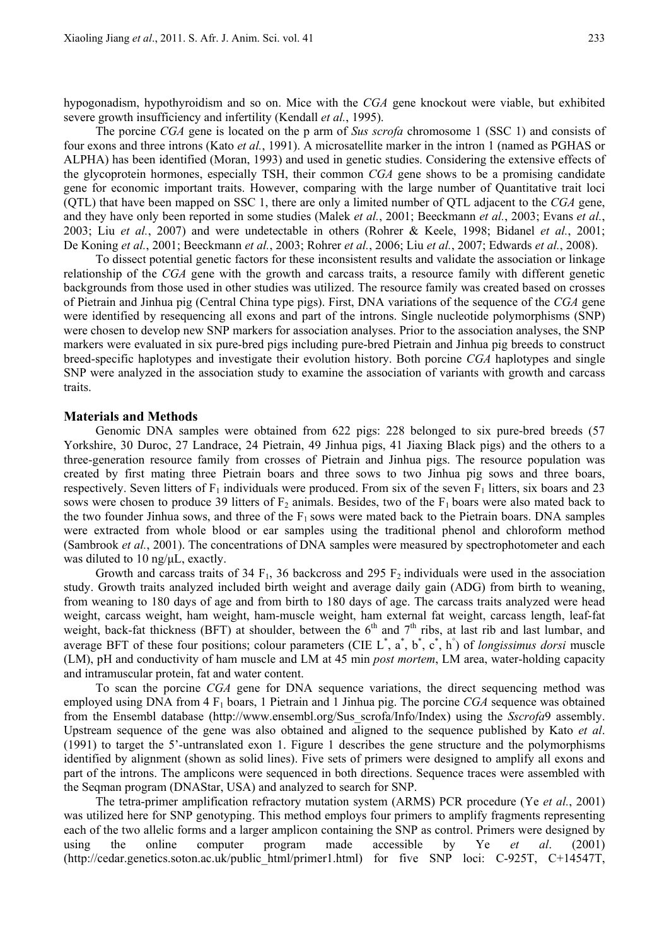hypogonadism, hypothyroidism and so on. Mice with the *CGA* gene knockout were viable, but exhibited severe growth insufficiency and infertility (Kendall *et al.*, 1995).

The porcine *CGA* gene is located on the p arm of *Sus scrofa* chromosome 1 (SSC 1) and consists of four exons and three introns (Kato *et al.*, 1991). A microsatellite marker in the intron 1 (named as PGHAS or ALPHA) has been identified (Moran, 1993) and used in genetic studies. Considering the extensive effects of the glycoprotein hormones, especially TSH, their common *CGA* gene shows to be a promising candidate gene for economic important traits. However, comparing with the large number of Quantitative trait loci (QTL) that have been mapped on SSC 1, there are only a limited number of QTL adjacent to the *CGA* gene, and they have only been reported in some studies (Malek *et al.*, 2001; Beeckmann *et al.*, 2003; Evans *et al.*, 2003; Liu *et al.*, 2007) and were undetectable in others (Rohrer & Keele, 1998; Bidanel *et al.*, 2001; De Koning *et al.*, 2001; Beeckmann *et al.*, 2003; Rohrer *et al.*, 2006; Liu *et al.*, 2007; Edwards *et al.*, 2008).

To dissect potential genetic factors for these inconsistent results and validate the association or linkage relationship of the *CGA* gene with the growth and carcass traits, a resource family with different genetic backgrounds from those used in other studies was utilized. The resource family was created based on crosses of Pietrain and Jinhua pig (Central China type pigs). First, DNA variations of the sequence of the *CGA* gene were identified by resequencing all exons and part of the introns. Single nucleotide polymorphisms (SNP) were chosen to develop new SNP markers for association analyses. Prior to the association analyses, the SNP markers were evaluated in six pure-bred pigs including pure-bred Pietrain and Jinhua pig breeds to construct breed-specific haplotypes and investigate their evolution history. Both porcine *CGA* haplotypes and single SNP were analyzed in the association study to examine the association of variants with growth and carcass traits.

## **Materials and Methods**

Genomic DNA samples were obtained from 622 pigs: 228 belonged to six pure-bred breeds (57 Yorkshire, 30 Duroc, 27 Landrace, 24 Pietrain, 49 Jinhua pigs, 41 Jiaxing Black pigs) and the others to a three-generation resource family from crosses of Pietrain and Jinhua pigs. The resource population was created by first mating three Pietrain boars and three sows to two Jinhua pig sows and three boars, respectively. Seven litters of  $F_1$  individuals were produced. From six of the seven  $F_1$  litters, six boars and 23 sows were chosen to produce 39 litters of  $F_2$  animals. Besides, two of the  $F_1$  boars were also mated back to the two founder Jinhua sows, and three of the  $F_1$  sows were mated back to the Pietrain boars. DNA samples were extracted from whole blood or ear samples using the traditional phenol and chloroform method (Sambrook *et al.*, 2001). The concentrations of DNA samples were measured by spectrophotometer and each was diluted to 10 ng/μL, exactly.

Growth and carcass traits of 34 F<sub>1</sub>, 36 backcross and 295 F<sub>2</sub> individuals were used in the association study. Growth traits analyzed included birth weight and average daily gain (ADG) from birth to weaning, from weaning to 180 days of age and from birth to 180 days of age. The carcass traits analyzed were head weight, carcass weight, ham weight, ham-muscle weight, ham external fat weight, carcass length, leaf-fat weight, back-fat thickness (BFT) at shoulder, between the 6<sup>th</sup> and 7<sup>th</sup> ribs, at last rib and last lumbar, and average BFT of these four positions; colour parameters (CIE  $L^*$ ,  $\hat{a}^*$ ,  $\hat{b}^*$ ,  $\hat{c}^*$ ,  $\hat{h}^*$ ) of *longissimus dorsi* muscle (LM), pH and conductivity of ham muscle and LM at 45 min *post mortem*, LM area, water-holding capacity and intramuscular protein, fat and water content.

To scan the porcine *CGA* gene for DNA sequence variations, the direct sequencing method was employed using DNA from 4 F1 boars, 1 Pietrain and 1 Jinhua pig. The porcine *CGA* sequence was obtained from the Ensembl database (http://www.ensembl.org/Sus\_scrofa/Info/Index) using the *Sscrofa*9 assembly. Upstream sequence of the gene was also obtained and aligned to the sequence published by Kato *et al*. (1991) to target the 5'-untranslated exon 1. Figure 1 describes the gene structure and the polymorphisms identified by alignment (shown as solid lines). Five sets of primers were designed to amplify all exons and part of the introns. The amplicons were sequenced in both directions. Sequence traces were assembled with the Seqman program (DNAStar, USA) and analyzed to search for SNP.

The tetra-primer amplification refractory mutation system (ARMS) PCR procedure (Ye *et al.*, 2001) was utilized here for SNP genotyping. This method employs four primers to amplify fragments representing each of the two allelic forms and a larger amplicon containing the SNP as control. Primers were designed by using the online computer program made accessible by Ye *et al*. (2001) [\(http://cedar.genetics.soton.ac.uk/public\\_html/primer1.html\)](http://cedar.genetics.soton.ac.uk/public_html/primer1.html) for five SNP loci: C-925T, C+14547T,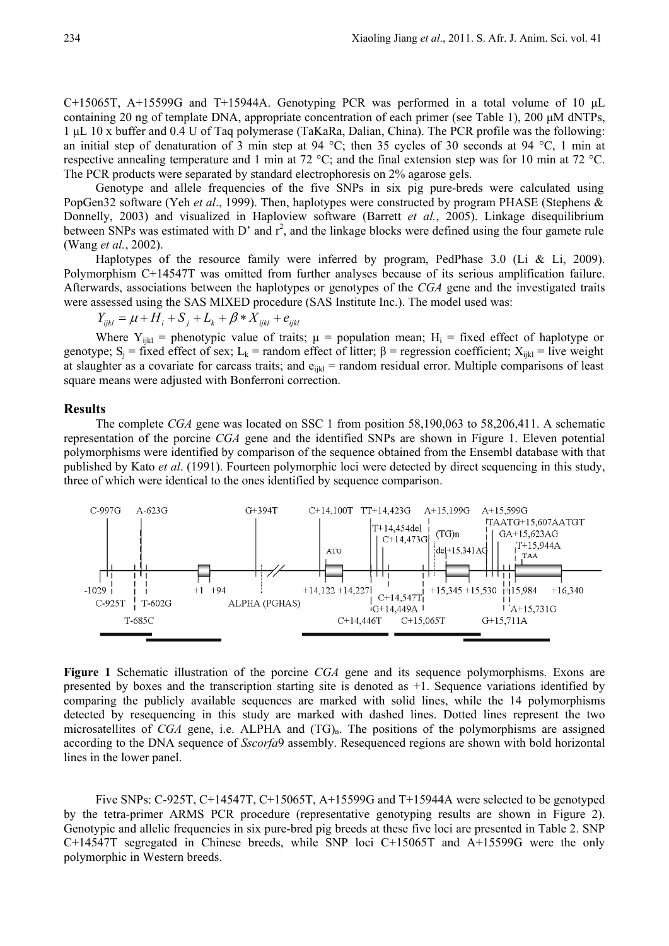C+15065T, A+15599G and T+15944A. Genotyping PCR was performed in a total volume of 10 μL containing 20 ng of template DNA, appropriate concentration of each primer (see Table 1), 200 μM dNTPs, 1 μL 10 x buffer and 0.4 U of Taq polymerase (TaKaRa, Dalian, China). The PCR profile was the following: an initial step of denaturation of 3 min step at 94 °C; then 35 cycles of 30 seconds at 94 °C, 1 min at respective annealing temperature and 1 min at 72 °C; and the final extension step was for 10 min at 72 °C. The PCR products were separated by standard electrophoresis on 2% agarose gels.

Genotype and allele frequencies of the five SNPs in six pig pure-breds were calculated using PopGen32 software (Yeh *et al*., 1999). Then, haplotypes were constructed by program PHASE (Stephens & Donnelly, 2003) and visualized in Haploview software (Barrett *et al.*, 2005). Linkage disequilibrium between SNPs was estimated with D' and  $r^2$ , and the linkage blocks were defined using the four gamete rule (Wang *et al.*, 2002).

Haplotypes of the resource family were inferred by program, PedPhase 3.0 (Li & Li, 2009). Polymorphism C+14547T was omitted from further analyses because of its serious amplification failure. Afterwards, associations between the haplotypes or genotypes of the *CGA* gene and the investigated traits were assessed using the SAS MIXED procedure (SAS Institute Inc.). The model used was:

 $Y_{ijkl} = \mu + H_i + S_j + L_k + \beta * X_{ijkl} + e_{ijkl}$ 

Where  $Y_{ijkl}$  = phenotypic value of traits;  $\mu$  = population mean;  $H_i$  = fixed effect of haplotype or genotype;  $S_i$  = fixed effect of sex; L<sub>k</sub> = random effect of litter;  $\beta$  = regression coefficient;  $X_{i,k}$  = live weight at slaughter as a covariate for carcass traits; and  $e_{ijkl}$  = random residual error. Multiple comparisons of least square means were adjusted with Bonferroni correction.

#### **Results**

The complete *CGA* gene was located on SSC 1 from position 58,190,063 to 58,206,411. A schematic representation of the porcine *CGA* gene and the identified SNPs are shown in Figure 1. Eleven potential polymorphisms were identified by comparison of the sequence obtained from the Ensembl database with that published by Kato *et al*. (1991). Fourteen polymorphic loci were detected by direct sequencing in this study, three of which were identical to the ones identified by sequence comparison.



**Figure 1** Schematic illustration of the porcine *CGA* gene and its sequence polymorphisms. Exons are presented by boxes and the transcription starting site is denoted as +1. Sequence variations identified by comparing the publicly available sequences are marked with solid lines, while the 14 polymorphisms detected by resequencing in this study are marked with dashed lines. Dotted lines represent the two microsatellites of *CGA* gene, i.e. ALPHA and (TG)<sub>n</sub>. The positions of the polymorphisms are assigned according to the DNA sequence of *Sscorfa*9 assembly. Resequenced regions are shown with bold horizontal lines in the lower panel.

Five SNPs: C-925T, C+14547T, C+15065T, A+15599G and T+15944A were selected to be genotyped by the tetra-primer ARMS PCR procedure (representative genotyping results are shown in Figure 2). Genotypic and allelic frequencies in six pure-bred pig breeds at these five loci are presented in Table 2. SNP C+14547T segregated in Chinese breeds, while SNP loci C+15065T and A+15599G were the only polymorphic in Western breeds.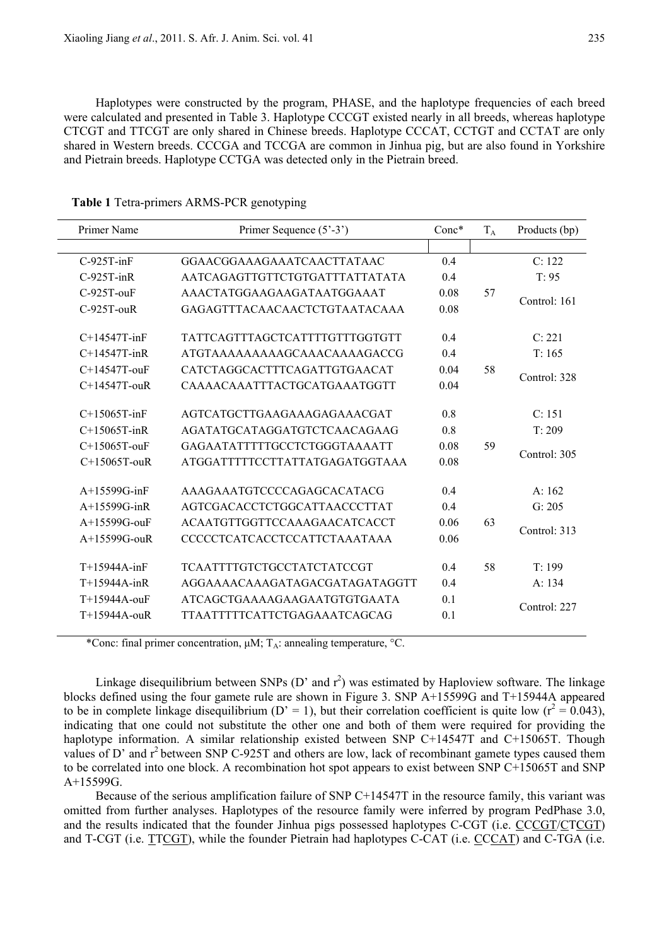Haplotypes were constructed by the program, PHASE, and the haplotype frequencies of each breed were calculated and presented in Table 3. Haplotype CCCGT existed nearly in all breeds, whereas haplotype CTCGT and TTCGT are only shared in Chinese breeds. Haplotype CCCAT, CCTGT and CCTAT are only shared in Western breeds. CCCGA and TCCGA are common in Jinhua pig, but are also found in Yorkshire and Pietrain breeds. Haplotype CCTGA was detected only in the Pietrain breed.

| Primer Name        | Primer Sequence (5'-3')               | $Conc*$ | $T_A$ | Products (bp) |
|--------------------|---------------------------------------|---------|-------|---------------|
|                    |                                       |         |       |               |
| $C-925T-inF$       | GGAACGGAAAGAAATCAACTTATAAC            | 0.4     |       | C: 122        |
| $C-925T-inR$       | AATCAGAGTTGTTCTGTGATTTATTATATA        | 0.4     |       | T: 95         |
| $C-925T-ouF$       | AAACTATGGAAGAAGATAATGGAAAT            | 0.08    | 57    | Control: 161  |
| $C-925T-ouR$       | GAGAGTTTACAACAACTCTGTAATACAAA         | 0.08    |       |               |
| $C+14547T$ -inF    | <b>TATTCAGTTTAGCTCATTTTGTTTGGTGTT</b> | 0.4     |       | C: 221        |
| $C+14547T$ -inR    | ATGTAAAAAAAAAGCAAACAAAAGACCG          | 0.4     |       | T: 165        |
| C+14547T-ouF       | CATCTAGGCACTTTCAGATTGTGAACAT          | 0.04    | 58    |               |
| $C+14547T$ -ouR    | CAAAACAAATTTACTGCATGAAATGGTT          | 0.04    |       | Control: 328  |
| $C+15065T$ -inF    | AGTCATGCTTGAAGAAAGAGAAACGAT           | 0.8     |       | C: 151        |
| $C+15065T$ -inR    | AGATATGCATAGGATGTCTCAACAGAAG          | 0.8     |       | T: 209        |
| $C+15065T$ -ouF    | GAGAATATTTTTGCCTCTGGGTAAAATT          | 0.08    | 59    |               |
| $C+15065T$ -ouR    | ATGGATTTTTCCTTATTATGAGATGGTAAA        | 0.08    |       | Control: 305  |
| $A+15599G$ -in $F$ | AAAGAAATGTCCCCAGAGCACATACG            | 0.4     |       | A: 162        |
| $A+15599G$ -inR    | AGTCGACACCTCTGGCATTAACCCTTAT          | 0.4     |       | G: 205        |
| A+15599G-ouF       | ACAATGTTGGTTCCAAAGAACATCACCT          | 0.06    | 63    |               |
| A+15599G-ouR       | CCCCCTCATCACCTCCATTCTAAATAAA          | 0.06    |       | Control: 313  |
| T+15944A-inF       | <b>TCAATTTTGTCTGCCTATCTATCCGT</b>     | 0.4     | 58    | T: 199        |
| $T+15944A$ -inR    | AGGAAAACAAAGATAGACGATAGATAGGTT        | 0.4     |       | A: 134        |
| T+15944A-ouF       | ATCAGCTGAAAAGAAGAATGTGTGAATA          | 0.1     |       |               |
| $T+15944A$ -ouR    | <b>TTAATTTTTCATTCTGAGAAATCAGCAG</b>   | 0.1     |       | Control: 227  |
|                    |                                       |         |       |               |

**Table 1** Tetra-primers ARMS-PCR genotyping

\*Conc: final primer concentration,  $\mu$ M; T<sub>A</sub>: annealing temperature, °C.

Linkage disequilibrium between SNPs (D' and  $r^2$ ) was estimated by Haploview software. The linkage blocks defined using the four gamete rule are shown in Figure 3. SNP A+15599G and T+15944A appeared to be in complete linkage disequilibrium (D' = 1), but their correlation coefficient is quite low ( $r^2 = 0.043$ ), indicating that one could not substitute the other one and both of them were required for providing the haplotype information. A similar relationship existed between SNP C+14547T and C+15065T. Though values of D' and  $r^2$  between SNP C-925T and others are low, lack of recombinant gamete types caused them to be correlated into one block. A recombination hot spot appears to exist between SNP C+15065T and SNP  $A+15599G$ .

Because of the serious amplification failure of SNP C+14547T in the resource family, this variant was omitted from further analyses. Haplotypes of the resource family were inferred by program PedPhase 3.0, and the results indicated that the founder Jinhua pigs possessed haplotypes C-CGT (i.e. CCCGT/CTCGT) and T-CGT (i.e. TTCGT), while the founder Pietrain had haplotypes C-CAT (i.e. CCCAT) and C-TGA (i.e.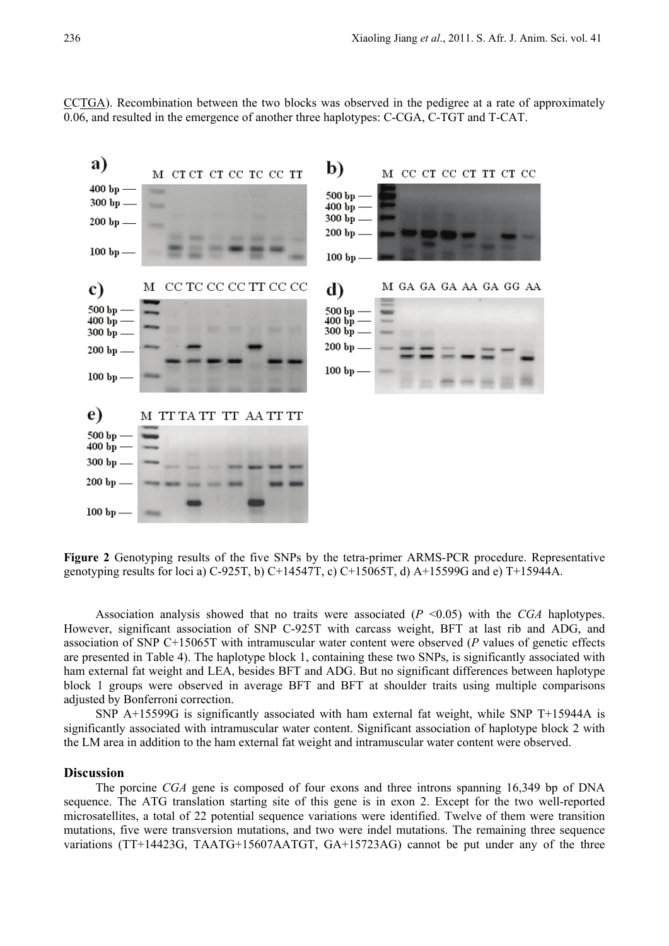CCTGA). Recombination between the two blocks was observed in the pedigree at a rate of approximately 0.06, and resulted in the emergence of another three haplotypes: C-CGA, C-TGT and T-CAT.



**Figure 2** Genotyping results of the five SNPs by the tetra-primer ARMS-PCR procedure. Representative genotyping results for loci a) C-925T, b) C+14547T, c) C+15065T, d) A+15599G and e) T+15944A.

Association analysis showed that no traits were associated (*P* <0.05) with the *CGA* haplotypes. However, significant association of SNP C-925T with carcass weight, BFT at last rib and ADG, and association of SNP C+15065T with intramuscular water content were observed (*P* values of genetic effects are presented in Table 4). The haplotype block 1, containing these two SNPs, is significantly associated with ham external fat weight and LEA, besides BFT and ADG. But no significant differences between haplotype block 1 groups were observed in average BFT and BFT at shoulder traits using multiple comparisons adjusted by Bonferroni correction.

SNP A+15599G is significantly associated with ham external fat weight, while SNP T+15944A is significantly associated with intramuscular water content. Significant association of haplotype block 2 with the LM area in addition to the ham external fat weight and intramuscular water content were observed.

# **Discussion**

The porcine *CGA* gene is composed of four exons and three introns spanning 16,349 bp of DNA sequence. The ATG translation starting site of this gene is in exon 2. Except for the two well-reported microsatellites, a total of 22 potential sequence variations were identified. Twelve of them were transition mutations, five were transversion mutations, and two were indel mutations. The remaining three sequence variations (TT+14423G, TAATG+15607AATGT, GA+15723AG) cannot be put under any of the three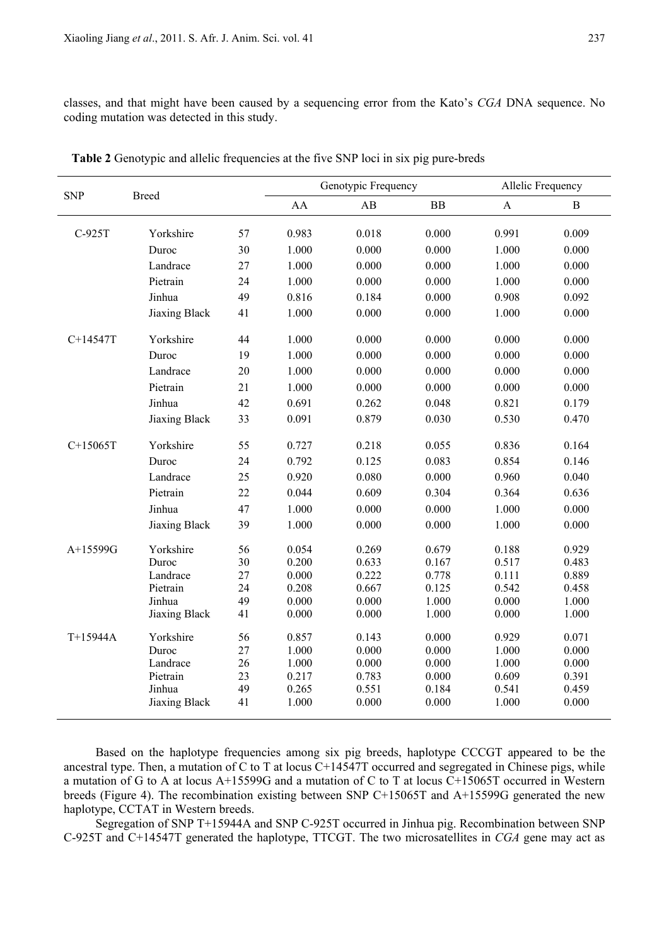classes, and that might have been caused by a sequencing error from the Kato's *CGA* DNA sequence. No coding mutation was detected in this study.

|            | <b>Breed</b>       |          |                | Genotypic Frequency | Allelic Frequency |                |                |
|------------|--------------------|----------|----------------|---------------------|-------------------|----------------|----------------|
| <b>SNP</b> |                    |          | AA             | AB                  | BB                | $\mathbf{A}$   | $\, {\bf B}$   |
| C-925T     | Yorkshire          | 57       | 0.983          | 0.018               | 0.000             | 0.991          | 0.009          |
|            | Duroc              | 30       | 1.000          | 0.000               | 0.000             | 1.000          | 0.000          |
|            | Landrace           | 27       | 1.000          | 0.000               | 0.000             | 1.000          | 0.000          |
|            | Pietrain           | 24       | 1.000          | 0.000               | 0.000             | 1.000          | 0.000          |
|            | Jinhua             | 49       | 0.816          | 0.184               | 0.000             | 0.908          | 0.092          |
|            | Jiaxing Black      | 41       | 1.000          | 0.000               | 0.000             | 1.000          | 0.000          |
| C+14547T   | Yorkshire          | 44       | 1.000          | 0.000               | 0.000             | 0.000          | 0.000          |
|            | Duroc              | 19       | 1.000          | 0.000               | 0.000             | 0.000          | 0.000          |
|            | Landrace           | $20\,$   | 1.000          | 0.000               | 0.000             | 0.000          | 0.000          |
|            | Pietrain           | 21       | 1.000          | 0.000               | 0.000             | 0.000          | 0.000          |
|            | Jinhua             | 42       | 0.691          | 0.262               | 0.048             | 0.821          | 0.179          |
|            | Jiaxing Black      | 33       | 0.091          | 0.879               | 0.030             | 0.530          | 0.470          |
| $C+15065T$ | Yorkshire          | 55       | 0.727          | 0.218               | 0.055             | 0.836          | 0.164          |
|            | Duroc              | 24       | 0.792          | 0.125               | 0.083             | 0.854          | 0.146          |
|            | Landrace           | 25       | 0.920          | 0.080               | 0.000             | 0.960          | 0.040          |
|            | Pietrain           | 22       | 0.044          | 0.609               | 0.304             | 0.364          | 0.636          |
|            | Jinhua             | 47       | 1.000          | 0.000               | 0.000             | 1.000          | 0.000          |
|            | Jiaxing Black      | 39       | 1.000          | 0.000               | 0.000             | 1.000          | 0.000          |
| A+15599G   | Yorkshire          | 56       | 0.054          | 0.269               | 0.679             | 0.188          | 0.929          |
|            | Duroc              | 30       | 0.200          | 0.633               | 0.167             | 0.517          | 0.483          |
|            | Landrace           | 27       | 0.000          | 0.222               | 0.778             | 0.111          | 0.889          |
|            | Pietrain<br>Jinhua | 24<br>49 | 0.208<br>0.000 | 0.667<br>0.000      | 0.125<br>1.000    | 0.542<br>0.000 | 0.458<br>1.000 |
|            | Jiaxing Black      | 41       | 0.000          | 0.000               | 1.000             | 0.000          | 1.000          |
|            |                    |          |                |                     |                   |                |                |
| T+15944A   | Yorkshire          | 56       | 0.857          | 0.143               | 0.000             | 0.929          | 0.071          |
|            | Duroc              | 27       | 1.000          | 0.000               | 0.000             | 1.000          | 0.000          |
|            | Landrace           | 26       | 1.000          | 0.000               | 0.000             | 1.000          | 0.000          |
|            | Pietrain<br>Jinhua | 23<br>49 | 0.217<br>0.265 | 0.783<br>0.551      | 0.000<br>0.184    | 0.609<br>0.541 | 0.391<br>0.459 |
|            | Jiaxing Black      | 41       | 1.000          | 0.000               | 0.000             | 1.000          | 0.000          |
|            |                    |          |                |                     |                   |                |                |

**Table 2** Genotypic and allelic frequencies at the five SNP loci in six pig pure-breds

Based on the haplotype frequencies among six pig breeds, haplotype CCCGT appeared to be the ancestral type. Then, a mutation of C to T at locus C+14547T occurred and segregated in Chinese pigs, while a mutation of G to A at locus A+15599G and a mutation of C to T at locus C+15065T occurred in Western breeds (Figure 4). The recombination existing between SNP C+15065T and A+15599G generated the new haplotype, CCTAT in Western breeds.

Segregation of SNP T+15944A and SNP C-925T occurred in Jinhua pig. Recombination between SNP C-925T and C+14547T generated the haplotype, TTCGT. The two microsatellites in *CGA* gene may act as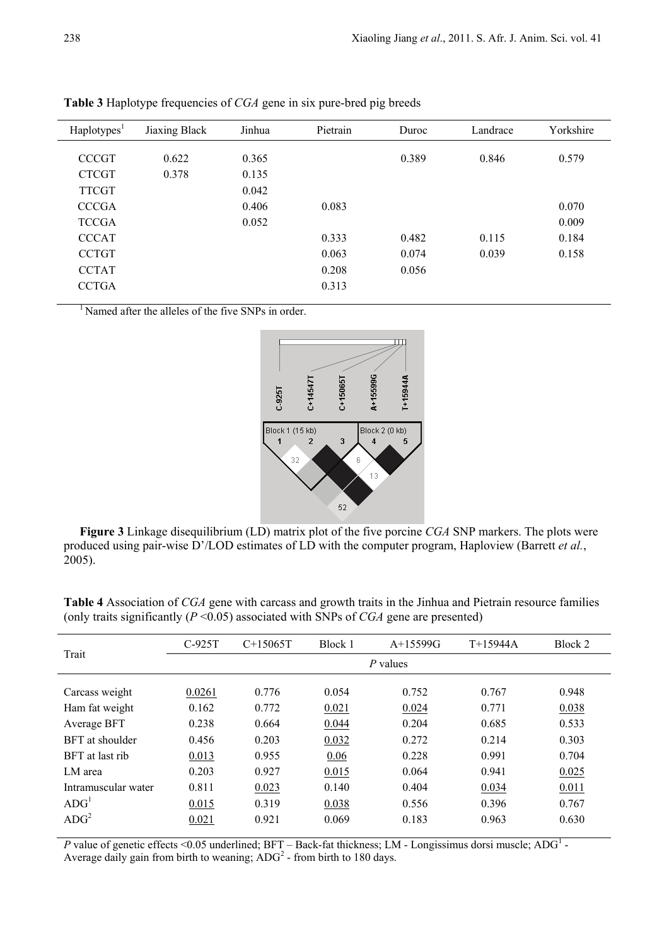| Haplotypes <sup>1</sup> | Jiaxing Black | Jinhua | Pietrain | Duroc | Landrace | Yorkshire |
|-------------------------|---------------|--------|----------|-------|----------|-----------|
|                         |               |        |          |       |          |           |
| <b>CCCGT</b>            | 0.622         | 0.365  |          | 0.389 | 0.846    | 0.579     |
| <b>CTCGT</b>            | 0.378         | 0.135  |          |       |          |           |
| <b>TTCGT</b>            |               | 0.042  |          |       |          |           |
| <b>CCCGA</b>            |               | 0.406  | 0.083    |       |          | 0.070     |
| <b>TCCGA</b>            |               | 0.052  |          |       |          | 0.009     |
| <b>CCCAT</b>            |               |        | 0.333    | 0.482 | 0.115    | 0.184     |
| <b>CCTGT</b>            |               |        | 0.063    | 0.074 | 0.039    | 0.158     |
| <b>CCTAT</b>            |               |        | 0.208    | 0.056 |          |           |
| <b>CCTGA</b>            |               |        | 0.313    |       |          |           |
|                         |               |        |          |       |          |           |

**Table 3** Haplotype frequencies of *CGA* gene in six pure-bred pig breeds

<sup>1</sup> Named after the alleles of the five SNPs in order.



**Figure 3** Linkage disequilibrium (LD) matrix plot of the five porcine *CGA* SNP markers. The plots were produced using pair-wise D'/LOD estimates of LD with the computer program, Haploview (Barrett *et al.*, 2005).

**Table 4** Association of *CGA* gene with carcass and growth traits in the Jinhua and Pietrain resource families (only traits significantly  $(P \le 0.05)$  associated with SNPs of *CGA* gene are presented)

| Trait               | $C-925T$   | $C+15065T$ | Block 1 | A+15599G | $T+15944A$ | Block 2 |  |  |
|---------------------|------------|------------|---------|----------|------------|---------|--|--|
|                     | $P$ values |            |         |          |            |         |  |  |
| Carcass weight      | 0.0261     | 0.776      | 0.054   | 0.752    | 0.767      | 0.948   |  |  |
| Ham fat weight      | 0.162      | 0.772      | 0.021   | 0.024    | 0.771      | 0.038   |  |  |
| Average BFT         | 0.238      | 0.664      | 0.044   | 0.204    | 0.685      | 0.533   |  |  |
| BFT at shoulder     | 0.456      | 0.203      | 0.032   | 0.272    | 0.214      | 0.303   |  |  |
| BFT at last rib     | 0.013      | 0.955      | 0.06    | 0.228    | 0.991      | 0.704   |  |  |
| LM area             | 0.203      | 0.927      | 0.015   | 0.064    | 0.941      | 0.025   |  |  |
| Intramuscular water | 0.811      | 0.023      | 0.140   | 0.404    | 0.034      | 0.011   |  |  |
| ADG <sup>1</sup>    | 0.015      | 0.319      | 0.038   | 0.556    | 0.396      | 0.767   |  |  |
| ADC <sup>2</sup>    | 0.021      | 0.921      | 0.069   | 0.183    | 0.963      | 0.630   |  |  |

*P* value of genetic effects <0.05 underlined; BFT – Back-fat thickness; LM - Longissimus dorsi muscle; ADG<sup>1</sup> -Average daily gain from birth to weaning;  $\text{ADC}^2$  - from birth to 180 days.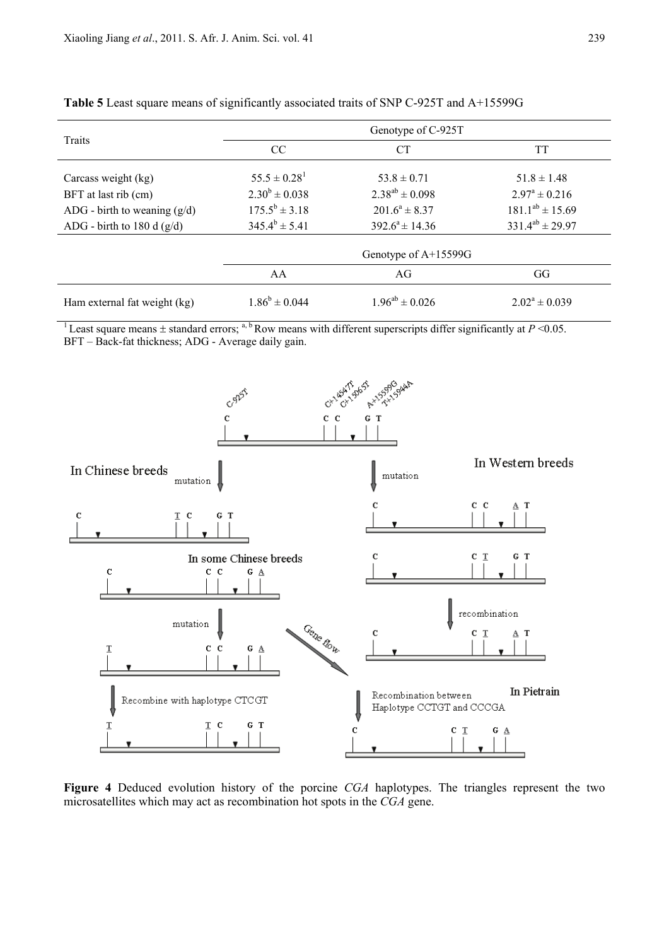| Traits                         | Genotype of C-925T   |                       |                          |  |  |  |  |
|--------------------------------|----------------------|-----------------------|--------------------------|--|--|--|--|
|                                | CC                   | <b>CT</b>             | TT                       |  |  |  |  |
| Carcass weight (kg)            | $55.5 \pm 0.28^1$    | $53.8 \pm 0.71$       | $51.8 \pm 1.48$          |  |  |  |  |
| BFT at last rib (cm)           | $2.30^b \pm 0.038$   | $2.38^{ab} \pm 0.098$ | $2.97^{\circ} \pm 0.216$ |  |  |  |  |
| ADG - birth to weaning $(g/d)$ | $175.5^b \pm 3.18$   | $201.6^a \pm 8.37$    | $181.1^{ab} \pm 15.69$   |  |  |  |  |
| ADG - birth to 180 d $(g/d)$   | $345.4^b \pm 5.41$   | $392.6^a \pm 14.36$   | $331.4^{ab} \pm 29.97$   |  |  |  |  |
|                                | Genotype of A+15599G |                       |                          |  |  |  |  |
|                                | AA                   | AG                    | GG                       |  |  |  |  |
| Ham external fat weight (kg)   | $1.86^b \pm 0.044$   | $1.96^{ab} \pm 0.026$ | $2.02^a \pm 0.039$       |  |  |  |  |

**Table 5** Least square means of significantly associated traits of SNP C-925T and A+15599G

<sup>1</sup> Least square means  $\pm$  standard errors; <sup>a, b</sup> Row means with different superscripts differ significantly at  $P$  <0.05. BFT – Back-fat thickness; ADG - Average daily gain.



**Figure 4** Deduced evolution history of the porcine *CGA* haplotypes. The triangles represent the two microsatellites which may act as recombination hot spots in the *CGA* gene.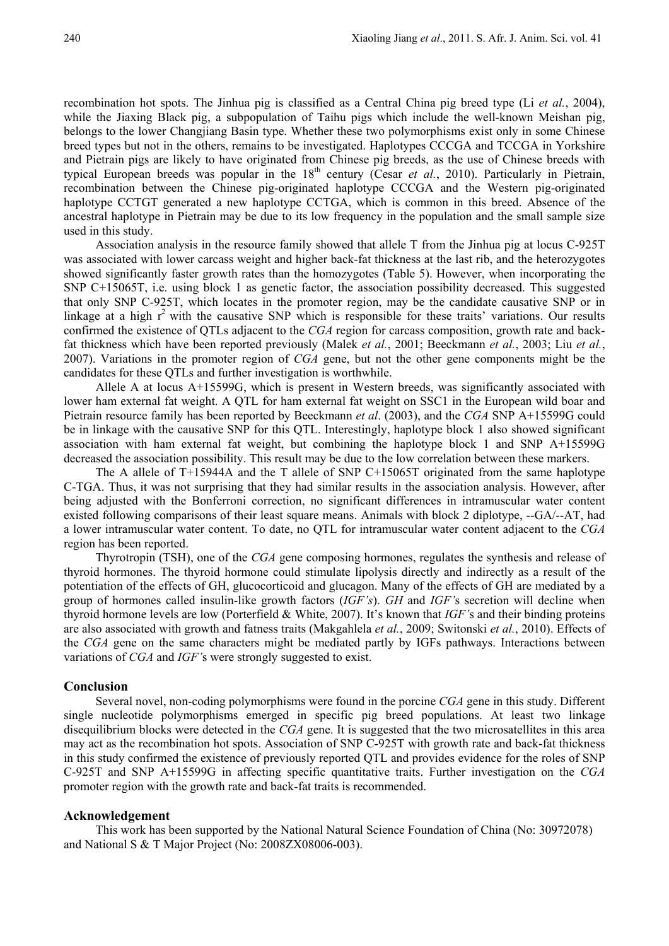recombination hot spots. The Jinhua pig is classified as a Central China pig breed type (Li *et al.*, 2004), while the Jiaxing Black pig, a subpopulation of Taihu pigs which include the well-known Meishan pig, belongs to the lower Changjiang Basin type. Whether these two polymorphisms exist only in some Chinese breed types but not in the others, remains to be investigated. Haplotypes CCCGA and TCCGA in Yorkshire and Pietrain pigs are likely to have originated from Chinese pig breeds, as the use of Chinese breeds with typical European breeds was popular in the  $18<sup>th</sup>$  century (Cesar *et al.*, 2010). Particularly in Pietrain, recombination between the Chinese pig-originated haplotype CCCGA and the Western pig-originated haplotype CCTGT generated a new haplotype CCTGA, which is common in this breed. Absence of the ancestral haplotype in Pietrain may be due to its low frequency in the population and the small sample size used in this study.

Association analysis in the resource family showed that allele T from the Jinhua pig at locus C-925T was associated with lower carcass weight and higher back-fat thickness at the last rib, and the heterozygotes showed significantly faster growth rates than the homozygotes (Table 5). However, when incorporating the SNP C+15065T, i.e. using block 1 as genetic factor, the association possibility decreased. This suggested that only SNP C-925T, which locates in the promoter region, may be the candidate causative SNP or in linkage at a high  $r^2$  with the causative SNP which is responsible for these traits' variations. Our results confirmed the existence of QTLs adjacent to the *CGA* region for carcass composition, growth rate and backfat thickness which have been reported previously (Malek *et al.*, 2001; Beeckmann *et al.*, 2003; Liu *et al.*, 2007). Variations in the promoter region of *CGA* gene, but not the other gene components might be the candidates for these QTLs and further investigation is worthwhile.

Allele A at locus A+15599G, which is present in Western breeds, was significantly associated with lower ham external fat weight. A QTL for ham external fat weight on SSC1 in the European wild boar and Pietrain resource family has been reported by Beeckmann *et al*. (2003), and the *CGA* SNP A+15599G could be in linkage with the causative SNP for this QTL. Interestingly, haplotype block 1 also showed significant association with ham external fat weight, but combining the haplotype block 1 and SNP A+15599G decreased the association possibility. This result may be due to the low correlation between these markers.

The A allele of T+15944A and the T allele of SNP C+15065T originated from the same haplotype C-TGA. Thus, it was not surprising that they had similar results in the association analysis. However, after being adjusted with the Bonferroni correction, no significant differences in intramuscular water content existed following comparisons of their least square means. Animals with block 2 diplotype, --GA/--AT, had a lower intramuscular water content. To date, no QTL for intramuscular water content adjacent to the *CGA* region has been reported.

Thyrotropin (TSH), one of the *CGA* gene composing hormones, regulates the synthesis and release of thyroid hormones. The thyroid hormone could stimulate lipolysis directly and indirectly as a result of the potentiation of the effects of GH, glucocorticoid and glucagon. Many of the effects of GH are mediated by a group of hormones called insulin-like growth factors (*IGF's*). *GH* and *IGF'*s secretion will decline when thyroid hormone levels are low (Porterfield & White, 2007). It's known that *IGF'*s and their binding proteins are also associated with growth and fatness traits (Makgahlela *et al.*, 2009; Switonski *et al.*, 2010). Effects of the *CGA* gene on the same characters might be mediated partly by IGFs pathways. Interactions between variations of *CGA* and *IGF'*s were strongly suggested to exist.

# **Conclusion**

Several novel, non-coding polymorphisms were found in the porcine *CGA* gene in this study. Different single nucleotide polymorphisms emerged in specific pig breed populations. At least two linkage disequilibrium blocks were detected in the *CGA* gene. It is suggested that the two microsatellites in this area may act as the recombination hot spots. Association of SNP C-925T with growth rate and back-fat thickness in this study confirmed the existence of previously reported QTL and provides evidence for the roles of SNP C-925T and SNP A+15599G in affecting specific quantitative traits. Further investigation on the *CGA* promoter region with the growth rate and back-fat traits is recommended.

#### **Acknowledgement**

This work has been supported by the National Natural Science Foundation of China (No: 30972078) and National S & T Major Project (No: 2008ZX08006-003).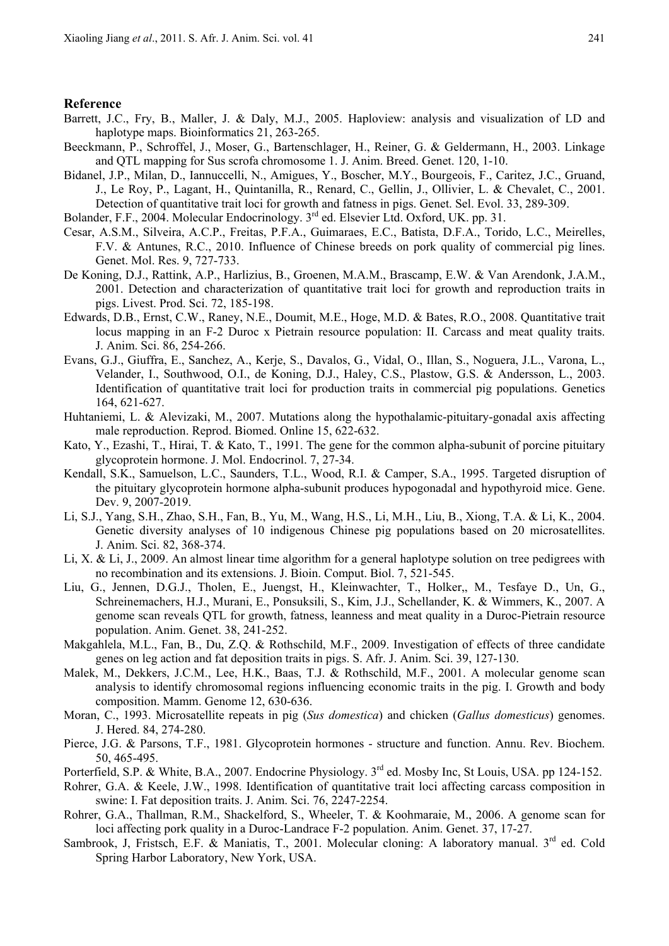#### **Reference**

- Barrett, J.C., Fry, B., Maller, J. & Daly, M.J., 2005. Haploview: analysis and visualization of LD and haplotype maps. Bioinformatics 21, 263-265.
- Beeckmann, P., Schroffel, J., Moser, G., Bartenschlager, H., Reiner, G. & Geldermann, H., 2003. Linkage and QTL mapping for Sus scrofa chromosome 1. J. Anim. Breed. Genet. 120, 1-10.
- Bidanel, J.P., Milan, D., Iannuccelli, N., Amigues, Y., Boscher, M.Y., Bourgeois, F., Caritez, J.C., Gruand, J., Le Roy, P., Lagant, H., Quintanilla, R., Renard, C., Gellin, J., Ollivier, L. & Chevalet, C., 2001. Detection of quantitative trait loci for growth and fatness in pigs. Genet. Sel. Evol. 33, 289-309.
- Bolander, F.F., 2004. Molecular Endocrinology. 3<sup>rd</sup> ed. Elsevier Ltd. Oxford, UK. pp. 31.
- Cesar, A.S.M., Silveira, A.C.P., Freitas, P.F.A., Guimaraes, E.C., Batista, D.F.A., Torido, L.C., Meirelles, F.V. & Antunes, R.C., 2010. Influence of Chinese breeds on pork quality of commercial pig lines. Genet. Mol. Res. 9, 727-733.
- De Koning, D.J., Rattink, A.P., Harlizius, B., Groenen, M.A.M., Brascamp, E.W. & Van Arendonk, J.A.M., 2001. Detection and characterization of quantitative trait loci for growth and reproduction traits in pigs. Livest. Prod. Sci. 72, 185-198.
- Edwards, D.B., Ernst, C.W., Raney, N.E., Doumit, M.E., Hoge, M.D. & Bates, R.O., 2008. Quantitative trait locus mapping in an F-2 Duroc x Pietrain resource population: II. Carcass and meat quality traits. J. Anim. Sci. 86, 254-266.
- Evans, G.J., Giuffra, E., Sanchez, A., Kerje, S., Davalos, G., Vidal, O., Illan, S., Noguera, J.L., Varona, L., Velander, I., Southwood, O.I., de Koning, D.J., Haley, C.S., Plastow, G.S. & Andersson, L., 2003. Identification of quantitative trait loci for production traits in commercial pig populations. Genetics 164, 621-627.
- Huhtaniemi, L. & Alevizaki, M., 2007. Mutations along the hypothalamic-pituitary-gonadal axis affecting male reproduction. Reprod. Biomed. Online 15, 622-632.
- Kato, Y., Ezashi, T., Hirai, T. & Kato, T., 1991. The gene for the common alpha-subunit of porcine pituitary glycoprotein hormone. J. Mol. Endocrinol. 7, 27-34.
- Kendall, S.K., Samuelson, L.C., Saunders, T.L., Wood, R.I. & Camper, S.A., 1995. Targeted disruption of the pituitary glycoprotein hormone alpha-subunit produces hypogonadal and hypothyroid mice. Gene. Dev. 9, 2007-2019.
- Li, S.J., Yang, S.H., Zhao, S.H., Fan, B., Yu, M., Wang, H.S., Li, M.H., Liu, B., Xiong, T.A. & Li, K., 2004. Genetic diversity analyses of 10 indigenous Chinese pig populations based on 20 microsatellites. J. Anim. Sci. 82, 368-374.
- Li, X. & Li, J., 2009. An almost linear time algorithm for a general haplotype solution on tree pedigrees with no recombination and its extensions. J. Bioin. Comput. Biol. 7, 521-545.
- Liu, G., Jennen, D.G.J., Tholen, E., Juengst, H., Kleinwachter, T., Holker,, M., Tesfaye D., Un, G., Schreinemachers, H.J., Murani, E., Ponsuksili, S., Kim, J.J., Schellander, K. & Wimmers, K., 2007. A genome scan reveals QTL for growth, fatness, leanness and meat quality in a Duroc-Pietrain resource population. Anim. Genet. 38, 241-252.
- Makgahlela, M.L., Fan, B., Du, Z.Q. & Rothschild, M.F., 2009. Investigation of effects of three candidate genes on leg action and fat deposition traits in pigs. S. Afr. J. Anim. Sci. 39, 127-130.
- Malek, M., Dekkers, J.C.M., Lee, H.K., Baas, T.J. & Rothschild, M.F., 2001. A molecular genome scan analysis to identify chromosomal regions influencing economic traits in the pig. I. Growth and body composition. Mamm. Genome 12, 630-636.
- Moran, C., 1993. Microsatellite repeats in pig (*Sus domestica*) and chicken (*Gallus domesticus*) genomes. J. Hered. 84, 274-280.
- Pierce, J.G. & Parsons, T.F., 1981. Glycoprotein hormones structure and function. Annu. Rev. Biochem. 50, 465-495.
- Porterfield, S.P. & White, B.A., 2007. Endocrine Physiology. 3<sup>rd</sup> ed. Mosby Inc, St Louis, USA. pp 124-152.
- Rohrer, G.A. & Keele, J.W., 1998. Identification of quantitative trait loci affecting carcass composition in swine: I. Fat deposition traits. J. Anim. Sci. 76, 2247-2254.
- Rohrer, G.A., Thallman, R.M., Shackelford, S., Wheeler, T. & Koohmaraie, M., 2006. A genome scan for loci affecting pork quality in a Duroc-Landrace F-2 population. Anim. Genet. 37, 17-27.
- Sambrook, J, Fristsch, E.F. & Maniatis, T., 2001. Molecular cloning: A laboratory manual. 3rd ed. Cold Spring Harbor Laboratory, New York, USA.